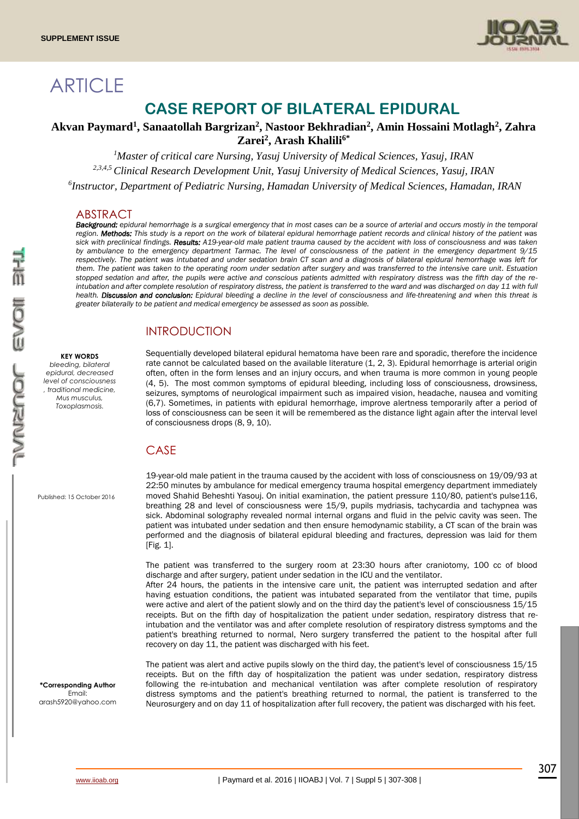

# **ARTICLE**

## **CASE REPORT OF BILATERAL EPIDURAL**

### **Akvan Paymard<sup>1</sup> , Sanaatollah Bargrizan<sup>2</sup> , Nastoor Bekhradian<sup>2</sup> , Amin Hossaini Motlagh<sup>2</sup> , Zahra Zarei<sup>2</sup> , Arash Khalili6\***

*<sup>1</sup>Master of critical care Nursing, Yasuj University of Medical Sciences, Yasuj, IRAN*

*2,3,4,5 Clinical Research Development Unit, Yasuj University of Medical Sciences, Yasuj, IRAN*

*6 Instructor, Department of Pediatric Nursing, Hamadan University of Medical Sciences, Hamadan, IRAN*

#### ABSIRACI

*Background: epidural hemorrhage is a surgical emergency that in most cases can be a source of arterial and occurs mostly in the temporal region. Methods: This study is a report on the work of bilateral epidural hemorrhage patient records and clinical history of the patient was sick with preclinical findings. Results: A19-year-old male patient trauma caused by the accident with loss of consciousness and was taken by ambulance to the emergency department Tarmac. The level of consciousness of the patient in the emergency department 9/15 respectively. The patient was intubated and under sedation brain CT scan and a diagnosis of bilateral epidural hemorrhage was left for them. The patient was taken to the operating room under sedation after surgery and was transferred to the intensive care unit. Estuation stopped sedation and after, the pupils were active and conscious patients admitted with respiratory distress was the fifth day of the re*intubation and after complete resolution of respiratory distress, the patient is transferred to the ward and was discharged on day 11 with full *health. Discussion and conclusion: Epidural bleeding a decline in the level of consciousness and life-threatening and when this threat is greater bilaterally to be patient and medical emergency be assessed as soon as possible.*

## INTRODUCTION

#### **KEY WORDS**

*bleeding, bilateral epidural, decreased level of consciousness , traditional medicine, Mus musculus, Toxoplasmosis.*

Sequentially developed bilateral epidural hematoma have been rare and sporadic, therefore the incidence rate cannot be calculated based on the available literature (1, 2, 3). Epidural hemorrhage is arterial origin often, often in the form lenses and an injury occurs, and when trauma is more common in young people (4, 5). The most common symptoms of epidural bleeding, including loss of consciousness, drowsiness, seizures, symptoms of neurological impairment such as impaired vision, headache, nausea and vomiting (6,7). Sometimes, in patients with epidural hemorrhage, improve alertness temporarily after a period of loss of consciousness can be seen it will be remembered as the distance light again after the interval level of consciousness drops (8, 9, 10).

#### CASE

Published: 15 October 2016

**\*Corresponding Author** Email: arash5920@yahoo.com

19-year-old male patient in the trauma caused by the accident with loss of consciousness on 19/09/93 at 22:50 minutes by ambulance for medical emergency trauma hospital emergency department immediately moved Shahid Beheshti Yasouj. On initial examination, the patient pressure 110/80, patient's pulse116, breathing 28 and level of consciousness were 15/9, pupils mydriasis, tachycardia and tachypnea was sick. Abdominal solography revealed normal internal organs and fluid in the pelvic cavity was seen. The patient was intubated under sedation and then ensure hemodynamic stability, a CT scan of the brain was performed and the diagnosis of bilateral epidural bleeding and fractures, depression was laid for them [Fig. 1].

The patient was transferred to the surgery room at 23:30 hours after craniotomy, 100 cc of blood discharge and after surgery, patient under sedation in the ICU and the ventilator.

After 24 hours, the patients in the intensive care unit, the patient was interrupted sedation and after having estuation conditions, the patient was intubated separated from the ventilator that time, pupils were active and alert of the patient slowly and on the third day the patient's level of consciousness 15/15 receipts. But on the fifth day of hospitalization the patient under sedation, respiratory distress that reintubation and the ventilator was and after complete resolution of respiratory distress symptoms and the patient's breathing returned to normal, Nero surgery transferred the patient to the hospital after full recovery on day 11, the patient was discharged with his feet.

The patient was alert and active pupils slowly on the third day, the patient's level of consciousness 15/15 receipts. But on the fifth day of hospitalization the patient was under sedation, respiratory distress following the re-intubation and mechanical ventilation was after complete resolution of respiratory distress symptoms and the patient's breathing returned to normal, the patient is transferred to the Neurosurgery and on day 11 of hospitalization after full recovery, the patient was discharged with his feet.